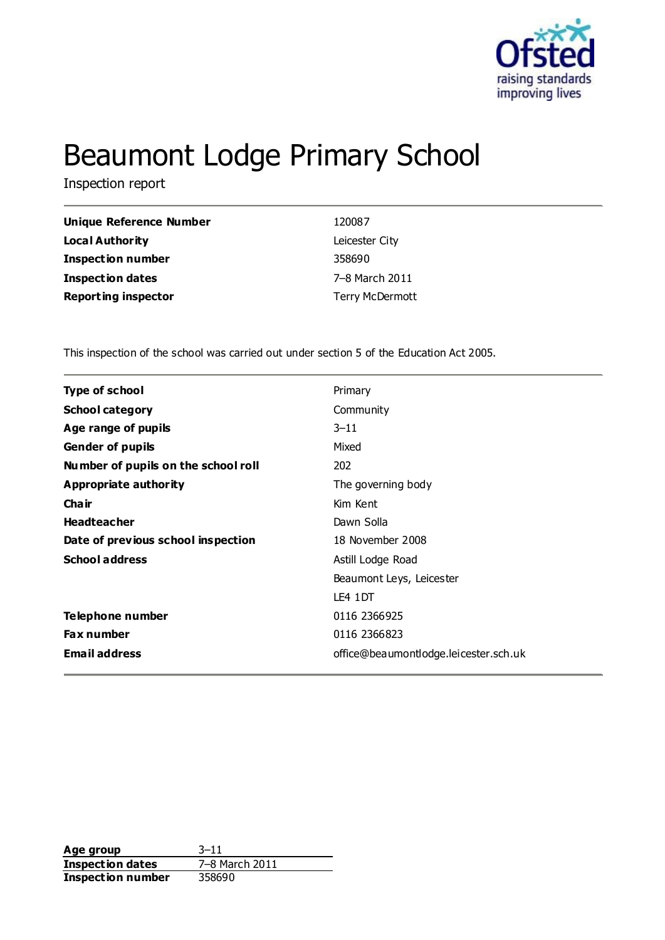

# Beaumont Lodge Primary School

Inspection report

| Unique Reference Number    | 120087                 |
|----------------------------|------------------------|
| Local Authority            | Leicester City         |
| <b>Inspection number</b>   | 358690                 |
| <b>Inspection dates</b>    | 7-8 March 2011         |
| <b>Reporting inspector</b> | <b>Terry McDermott</b> |

This inspection of the school was carried out under section 5 of the Education Act 2005.

| <b>Type of school</b>               | Primary                               |
|-------------------------------------|---------------------------------------|
| <b>School category</b>              | Community                             |
| Age range of pupils                 | $3 - 11$                              |
| <b>Gender of pupils</b>             | Mixed                                 |
| Number of pupils on the school roll | 202                                   |
| Appropriate authority               | The governing body                    |
| Cha ir                              | Kim Kent                              |
| <b>Headteacher</b>                  | Dawn Solla                            |
| Date of previous school inspection  | 18 November 2008                      |
| <b>School address</b>               | Astill Lodge Road                     |
|                                     | Beaumont Leys, Leicester              |
|                                     | LE4 1DT                               |
| Telephone number                    | 0116 2366925                          |
| <b>Fax number</b>                   | 0116 2366823                          |
| <b>Email address</b>                | office@beaumontlodge.leicester.sch.uk |
|                                     |                                       |

**Age group** 3-11<br> **Inspection dates** 7-8 March 2011 **Inspection dates Inspection number** 358690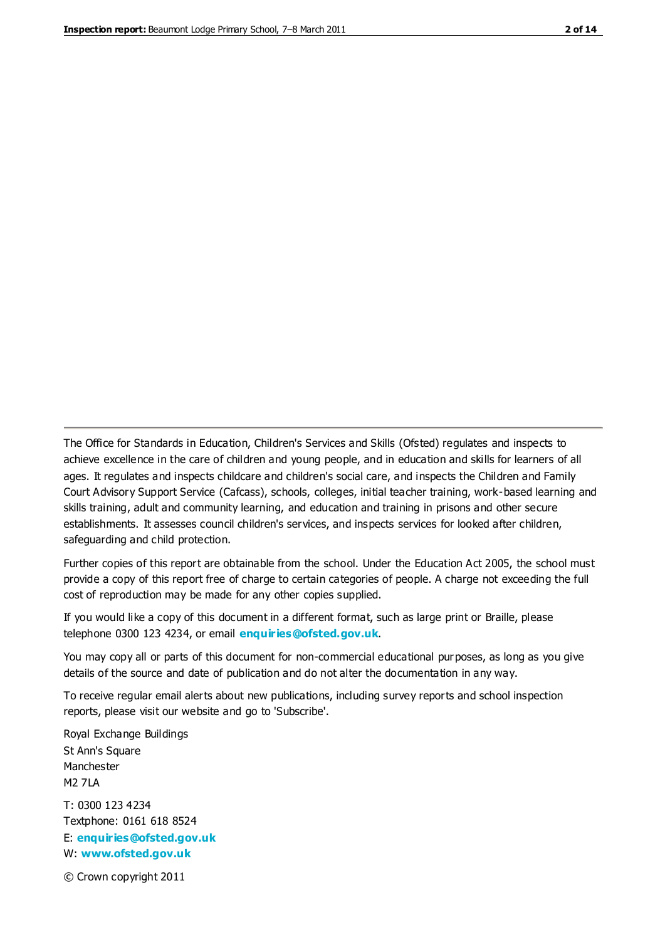The Office for Standards in Education, Children's Services and Skills (Ofsted) regulates and inspects to achieve excellence in the care of children and young people, and in education and skills for learners of all ages. It regulates and inspects childcare and children's social care, and inspects the Children and Family Court Advisory Support Service (Cafcass), schools, colleges, initial teacher training, work-based learning and skills training, adult and community learning, and education and training in prisons and other secure establishments. It assesses council children's services, and inspects services for looked after children, safeguarding and child protection.

Further copies of this report are obtainable from the school. Under the Education Act 2005, the school must provide a copy of this report free of charge to certain categories of people. A charge not exceeding the full cost of reproduction may be made for any other copies supplied.

If you would like a copy of this document in a different format, such as large print or Braille, please telephone 0300 123 4234, or email **[enquiries@ofsted.gov.uk](mailto:enquiries@ofsted.gov.uk)**.

You may copy all or parts of this document for non-commercial educational purposes, as long as you give details of the source and date of publication and do not alter the documentation in any way.

To receive regular email alerts about new publications, including survey reports and school inspection reports, please visit our website and go to 'Subscribe'.

Royal Exchange Buildings St Ann's Square Manchester M2 7LA T: 0300 123 4234 Textphone: 0161 618 8524 E: **[enquiries@ofsted.gov.uk](mailto:enquiries@ofsted.gov.uk)**

W: **[www.ofsted.gov.uk](http://www.ofsted.gov.uk/)**

© Crown copyright 2011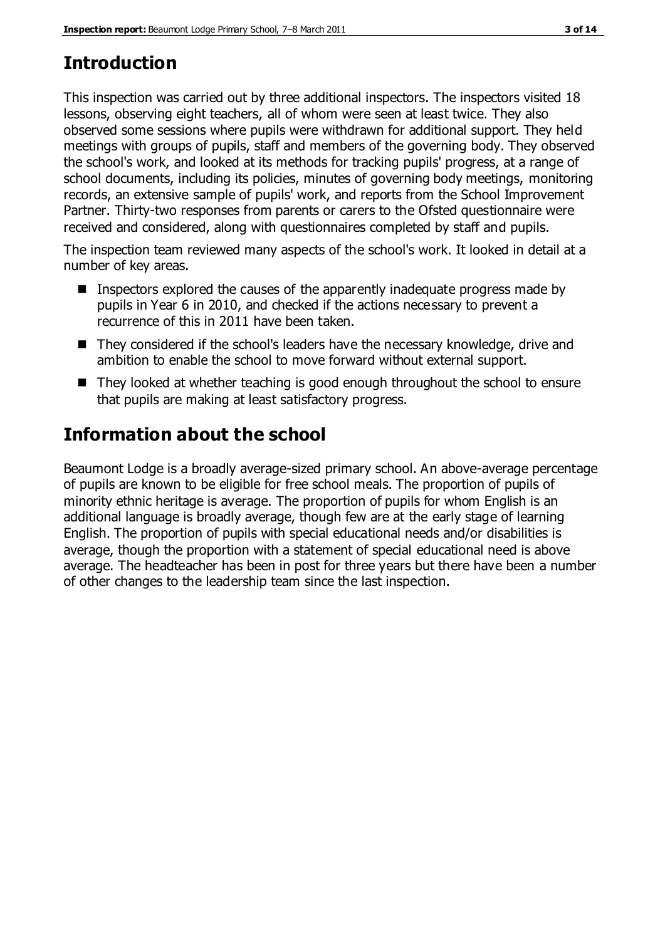# **Introduction**

This inspection was carried out by three additional inspectors. The inspectors visited 18 lessons, observing eight teachers, all of whom were seen at least twice. They also observed some sessions where pupils were withdrawn for additional support. They held meetings with groups of pupils, staff and members of the governing body. They observed the school's work, and looked at its methods for tracking pupils' progress, at a range of school documents, including its policies, minutes of governing body meetings, monitoring records, an extensive sample of pupils' work, and reports from the School Improvement Partner. Thirty-two responses from parents or carers to the Ofsted questionnaire were received and considered, along with questionnaires completed by staff and pupils.

The inspection team reviewed many aspects of the school's work. It looked in detail at a number of key areas.

- Inspectors explored the causes of the apparently inadequate progress made by pupils in Year 6 in 2010, and checked if the actions necessary to prevent a recurrence of this in 2011 have been taken.
- They considered if the school's leaders have the necessary knowledge, drive and ambition to enable the school to move forward without external support.
- They looked at whether teaching is good enough throughout the school to ensure that pupils are making at least satisfactory progress.

# **Information about the school**

Beaumont Lodge is a broadly average-sized primary school. An above-average percentage of pupils are known to be eligible for free school meals. The proportion of pupils of minority ethnic heritage is average. The proportion of pupils for whom English is an additional language is broadly average, though few are at the early stage of learning English. The proportion of pupils with special educational needs and/or disabilities is average, though the proportion with a statement of special educational need is above average. The headteacher has been in post for three years but there have been a number of other changes to the leadership team since the last inspection.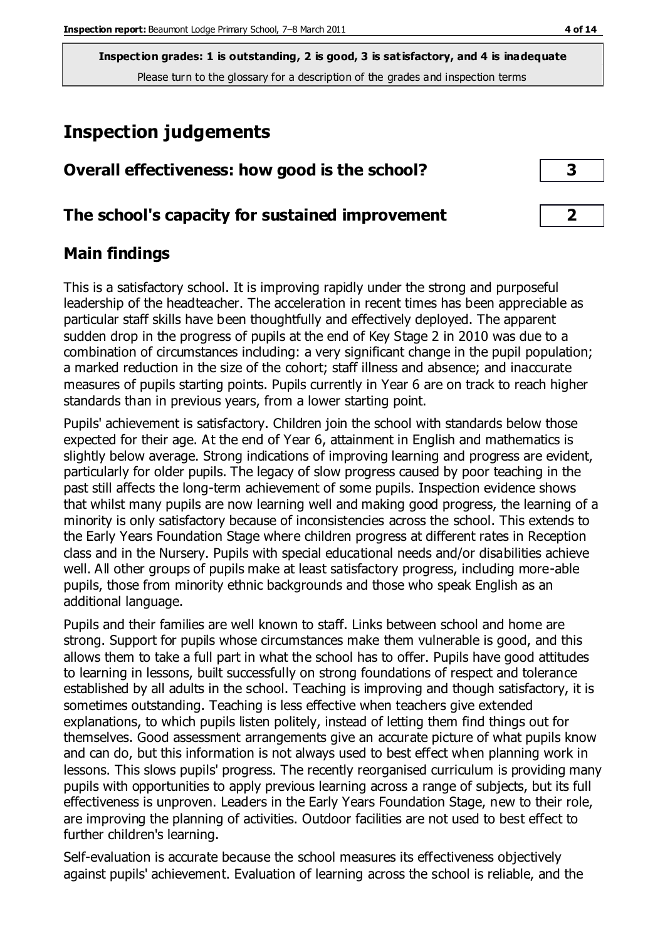# **Inspection judgements**

| Overall effectiveness: how good is the school?  |  |  |
|-------------------------------------------------|--|--|
|                                                 |  |  |
| The school's capacity for sustained improvement |  |  |

## **Main findings**

This is a satisfactory school. It is improving rapidly under the strong and purposeful leadership of the headteacher. The acceleration in recent times has been appreciable as particular staff skills have been thoughtfully and effectively deployed. The apparent sudden drop in the progress of pupils at the end of Key Stage 2 in 2010 was due to a combination of circumstances including: a very significant change in the pupil population; a marked reduction in the size of the cohort; staff illness and absence; and inaccurate measures of pupils starting points. Pupils currently in Year 6 are on track to reach higher standards than in previous years, from a lower starting point.

Pupils' achievement is satisfactory. Children join the school with standards below those expected for their age. At the end of Year 6, attainment in English and mathematics is slightly below average. Strong indications of improving learning and progress are evident, particularly for older pupils. The legacy of slow progress caused by poor teaching in the past still affects the long-term achievement of some pupils. Inspection evidence shows that whilst many pupils are now learning well and making good progress, the learning of a minority is only satisfactory because of inconsistencies across the school. This extends to the Early Years Foundation Stage where children progress at different rates in Reception class and in the Nursery. Pupils with special educational needs and/or disabilities achieve well. All other groups of pupils make at least satisfactory progress, including more-able pupils, those from minority ethnic backgrounds and those who speak English as an additional language.

Pupils and their families are well known to staff. Links between school and home are strong. Support for pupils whose circumstances make them vulnerable is good, and this allows them to take a full part in what the school has to offer. Pupils have good attitudes to learning in lessons, built successfully on strong foundations of respect and tolerance established by all adults in the school. Teaching is improving and though satisfactory, it is sometimes outstanding. Teaching is less effective when teachers give extended explanations, to which pupils listen politely, instead of letting them find things out for themselves. Good assessment arrangements give an accurate picture of what pupils know and can do, but this information is not always used to best effect when planning work in lessons. This slows pupils' progress. The recently reorganised curriculum is providing many pupils with opportunities to apply previous learning across a range of subjects, but its full effectiveness is unproven. Leaders in the Early Years Foundation Stage, new to their role, are improving the planning of activities. Outdoor facilities are not used to best effect to further children's learning.

Self-evaluation is accurate because the school measures its effectiveness objectively against pupils' achievement. Evaluation of learning across the school is reliable, and the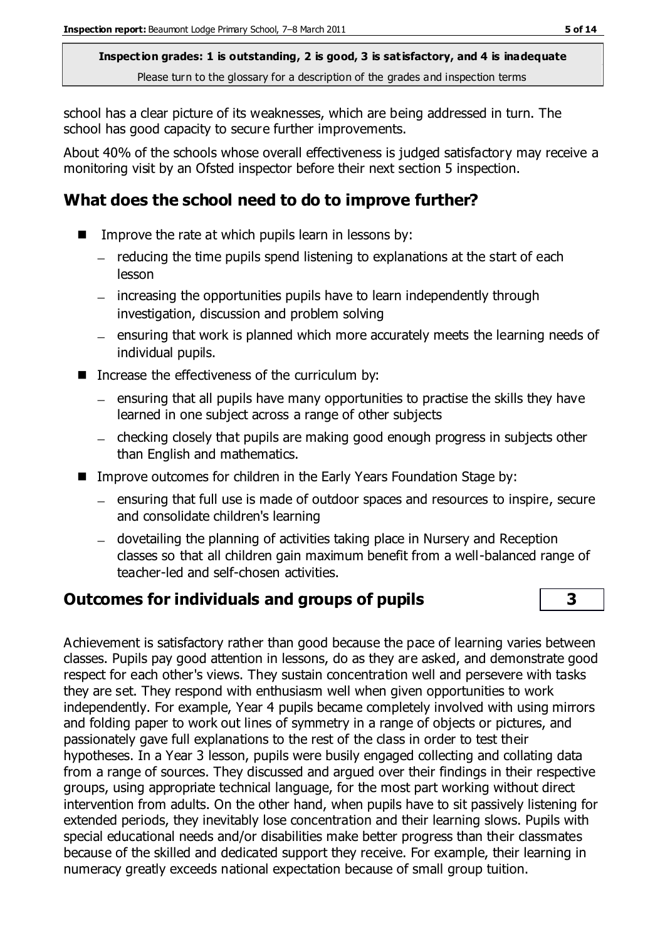school has a clear picture of its weaknesses, which are being addressed in turn. The school has good capacity to secure further improvements.

About 40% of the schools whose overall effectiveness is judged satisfactory may receive a monitoring visit by an Ofsted inspector before their next section 5 inspection.

## **What does the school need to do to improve further?**

- Improve the rate at which pupils learn in lessons by:
	- $-$  reducing the time pupils spend listening to explanations at the start of each lesson
	- increasing the opportunities pupils have to learn independently through investigation, discussion and problem solving
	- ensuring that work is planned which more accurately meets the learning needs of individual pupils.
- $\blacksquare$  Increase the effectiveness of the curriculum by:
	- $-$  ensuring that all pupils have many opportunities to practise the skills they have learned in one subject across a range of other subjects
	- checking closely that pupils are making good enough progress in subjects other than English and mathematics.
- **IMPROVE OUTCOMES for children in the Early Years Foundation Stage by:** 
	- ensuring that full use is made of outdoor spaces and resources to inspire, secure and consolidate children's learning
	- dovetailing the planning of activities taking place in Nursery and Reception classes so that all children gain maximum benefit from a well-balanced range of teacher-led and self-chosen activities.

## **Outcomes for individuals and groups of pupils 3**

Achievement is satisfactory rather than good because the pace of learning varies between classes. Pupils pay good attention in lessons, do as they are asked, and demonstrate good respect for each other's views. They sustain concentration well and persevere with tasks they are set. They respond with enthusiasm well when given opportunities to work independently. For example, Year 4 pupils became completely involved with using mirrors and folding paper to work out lines of symmetry in a range of objects or pictures, and passionately gave full explanations to the rest of the class in order to test their hypotheses. In a Year 3 lesson, pupils were busily engaged collecting and collating data from a range of sources. They discussed and argued over their findings in their respective groups, using appropriate technical language, for the most part working without direct intervention from adults. On the other hand, when pupils have to sit passively listening for extended periods, they inevitably lose concentration and their learning slows. Pupils with special educational needs and/or disabilities make better progress than their classmates because of the skilled and dedicated support they receive. For example, their learning in numeracy greatly exceeds national expectation because of small group tuition.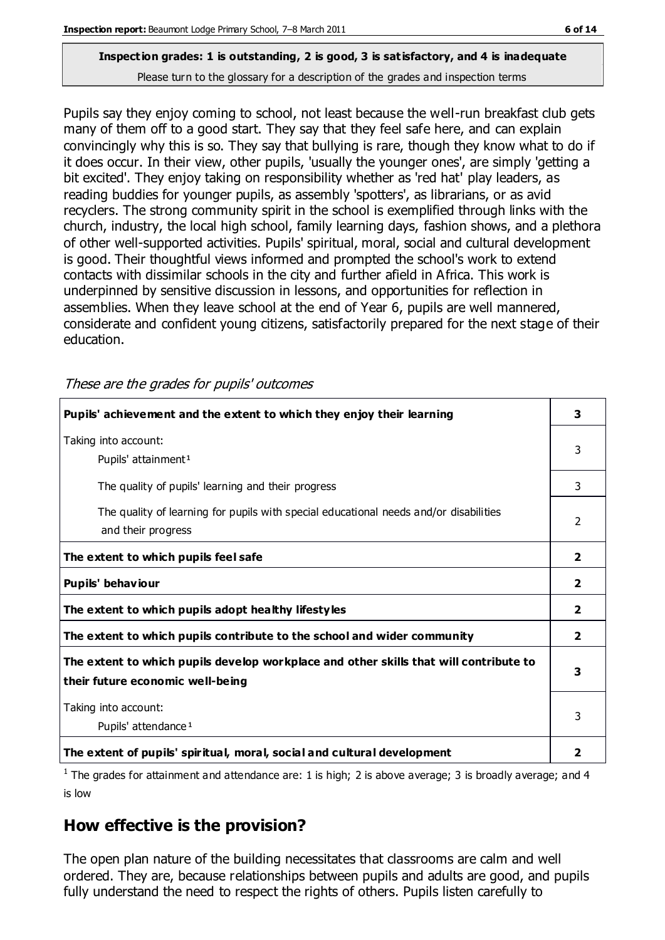Pupils say they enjoy coming to school, not least because the well-run breakfast club gets many of them off to a good start. They say that they feel safe here, and can explain convincingly why this is so. They say that bullying is rare, though they know what to do if it does occur. In their view, other pupils, 'usually the younger ones', are simply 'getting a bit excited'. They enjoy taking on responsibility whether as 'red hat' play leaders, as reading buddies for younger pupils, as assembly 'spotters', as librarians, or as avid recyclers. The strong community spirit in the school is exemplified through links with the church, industry, the local high school, family learning days, fashion shows, and a plethora of other well-supported activities. Pupils' spiritual, moral, social and cultural development is good. Their thoughtful views informed and prompted the school's work to extend contacts with dissimilar schools in the city and further afield in Africa. This work is underpinned by sensitive discussion in lessons, and opportunities for reflection in assemblies. When they leave school at the end of Year 6, pupils are well mannered, considerate and confident young citizens, satisfactorily prepared for the next stage of their education.

These are the grades for pupils' outcomes

| Pupils' achievement and the extent to which they enjoy their learning                                                     | 3            |
|---------------------------------------------------------------------------------------------------------------------------|--------------|
| Taking into account:<br>Pupils' attainment <sup>1</sup>                                                                   | 3            |
| The quality of pupils' learning and their progress                                                                        | 3            |
| The quality of learning for pupils with special educational needs and/or disabilities<br>and their progress               | 2            |
| The extent to which pupils feel safe                                                                                      | $\mathbf{z}$ |
| Pupils' behaviour                                                                                                         | $\mathbf{2}$ |
| The extent to which pupils adopt healthy lifestyles                                                                       | 2            |
| The extent to which pupils contribute to the school and wider community                                                   | $\mathbf{2}$ |
| The extent to which pupils develop workplace and other skills that will contribute to<br>their future economic well-being | 3            |
| Taking into account:<br>Pupils' attendance <sup>1</sup>                                                                   | 3            |
| The extent of pupils' spiritual, moral, social and cultural development                                                   | 2            |

<sup>1</sup> The grades for attainment and attendance are: 1 is high; 2 is above average; 3 is broadly average; and 4 is low

## **How effective is the provision?**

The open plan nature of the building necessitates that classrooms are calm and well ordered. They are, because relationships between pupils and adults are good, and pupils fully understand the need to respect the rights of others. Pupils listen carefully to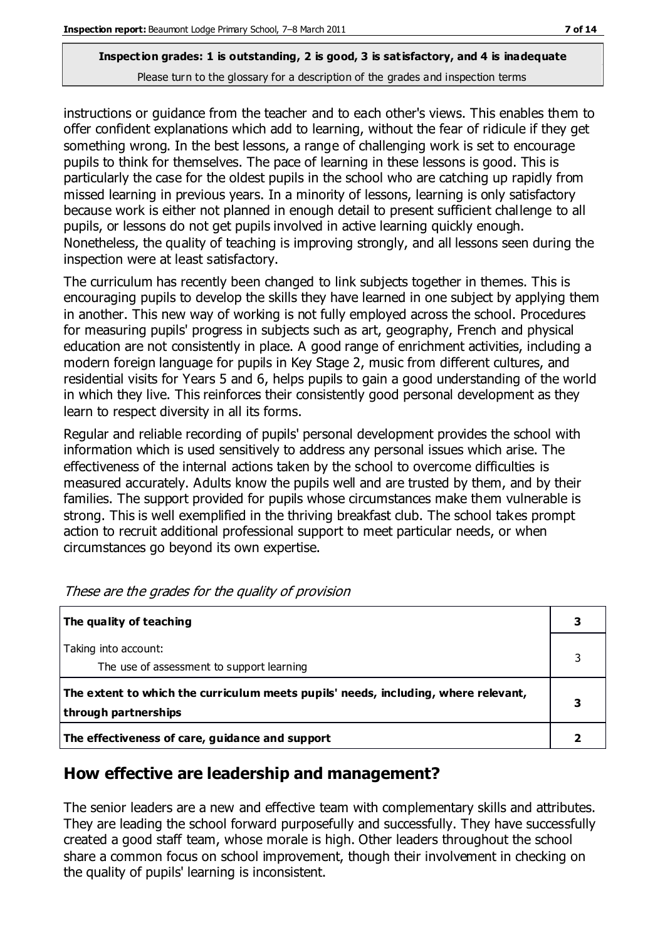instructions or guidance from the teacher and to each other's views. This enables them to offer confident explanations which add to learning, without the fear of ridicule if they get something wrong. In the best lessons, a range of challenging work is set to encourage pupils to think for themselves. The pace of learning in these lessons is good. This is particularly the case for the oldest pupils in the school who are catching up rapidly from missed learning in previous years. In a minority of lessons, learning is only satisfactory because work is either not planned in enough detail to present sufficient challenge to all pupils, or lessons do not get pupils involved in active learning quickly enough. Nonetheless, the quality of teaching is improving strongly, and all lessons seen during the inspection were at least satisfactory.

The curriculum has recently been changed to link subjects together in themes. This is encouraging pupils to develop the skills they have learned in one subject by applying them in another. This new way of working is not fully employed across the school. Procedures for measuring pupils' progress in subjects such as art, geography, French and physical education are not consistently in place. A good range of enrichment activities, including a modern foreign language for pupils in Key Stage 2, music from different cultures, and residential visits for Years 5 and 6, helps pupils to gain a good understanding of the world in which they live. This reinforces their consistently good personal development as they learn to respect diversity in all its forms.

Regular and reliable recording of pupils' personal development provides the school with information which is used sensitively to address any personal issues which arise. The effectiveness of the internal actions taken by the school to overcome difficulties is measured accurately. Adults know the pupils well and are trusted by them, and by their families. The support provided for pupils whose circumstances make them vulnerable is strong. This is well exemplified in the thriving breakfast club. The school takes prompt action to recruit additional professional support to meet particular needs, or when circumstances go beyond its own expertise.

| The quality of teaching                                                                                    | 3 |
|------------------------------------------------------------------------------------------------------------|---|
| Taking into account:<br>The use of assessment to support learning                                          |   |
| The extent to which the curriculum meets pupils' needs, including, where relevant,<br>through partnerships | З |
| The effectiveness of care, guidance and support                                                            |   |

These are the grades for the quality of provision

## **How effective are leadership and management?**

The senior leaders are a new and effective team with complementary skills and attributes. They are leading the school forward purposefully and successfully. They have successfully created a good staff team, whose morale is high. Other leaders throughout the school share a common focus on school improvement, though their involvement in checking on the quality of pupils' learning is inconsistent.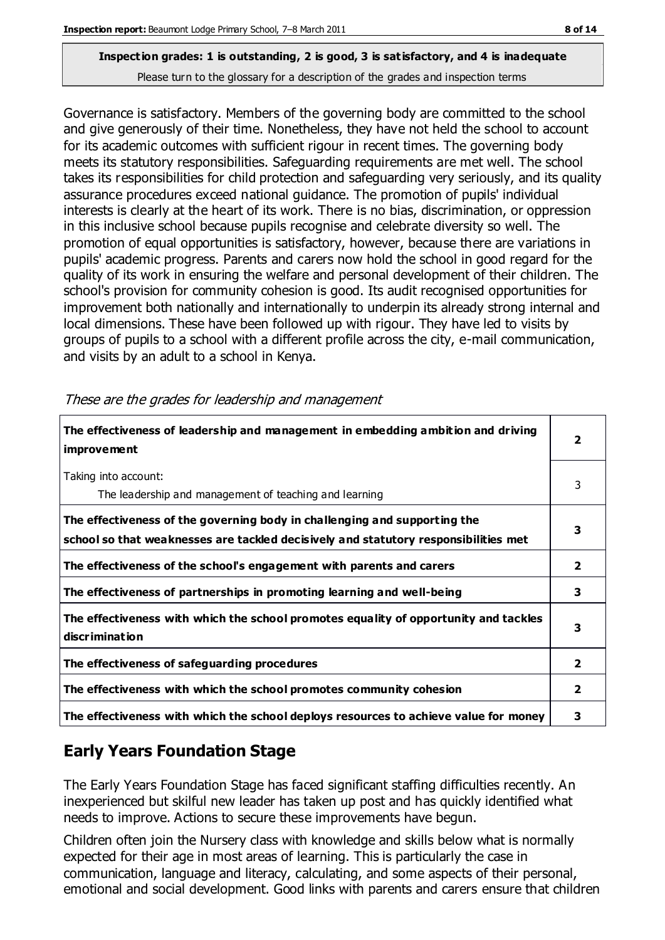Governance is satisfactory. Members of the governing body are committed to the school and give generously of their time. Nonetheless, they have not held the school to account for its academic outcomes with sufficient rigour in recent times. The governing body meets its statutory responsibilities. Safeguarding requirements are met well. The school takes its responsibilities for child protection and safeguarding very seriously, and its quality assurance procedures exceed national guidance. The promotion of pupils' individual interests is clearly at the heart of its work. There is no bias, discrimination, or oppression in this inclusive school because pupils recognise and celebrate diversity so well. The promotion of equal opportunities is satisfactory, however, because there are variations in pupils' academic progress. Parents and carers now hold the school in good regard for the quality of its work in ensuring the welfare and personal development of their children. The school's provision for community cohesion is good. Its audit recognised opportunities for improvement both nationally and internationally to underpin its already strong internal and local dimensions. These have been followed up with rigour. They have led to visits by groups of pupils to a school with a different profile across the city, e-mail communication, and visits by an adult to a school in Kenya.

| The effectiveness of leadership and management in embedding ambition and driving<br>improvement                                                                  | 2              |
|------------------------------------------------------------------------------------------------------------------------------------------------------------------|----------------|
| Taking into account:<br>The leadership and management of teaching and learning                                                                                   | 3              |
| The effectiveness of the governing body in challenging and supporting the<br>school so that weaknesses are tackled decisively and statutory responsibilities met | 3              |
| The effectiveness of the school's engagement with parents and carers                                                                                             | $\overline{2}$ |
| The effectiveness of partnerships in promoting learning and well-being                                                                                           | 3              |
| The effectiveness with which the school promotes equality of opportunity and tackles<br>discrimination                                                           | 3              |
| The effectiveness of safeguarding procedures                                                                                                                     | $\overline{2}$ |
| The effectiveness with which the school promotes community cohesion                                                                                              | 2              |
| The effectiveness with which the school deploys resources to achieve value for money                                                                             | 3              |

These are the grades for leadership and management

## **Early Years Foundation Stage**

The Early Years Foundation Stage has faced significant staffing difficulties recently. An inexperienced but skilful new leader has taken up post and has quickly identified what needs to improve. Actions to secure these improvements have begun.

Children often join the Nursery class with knowledge and skills below what is normally expected for their age in most areas of learning. This is particularly the case in communication, language and literacy, calculating, and some aspects of their personal, emotional and social development. Good links with parents and carers ensure that children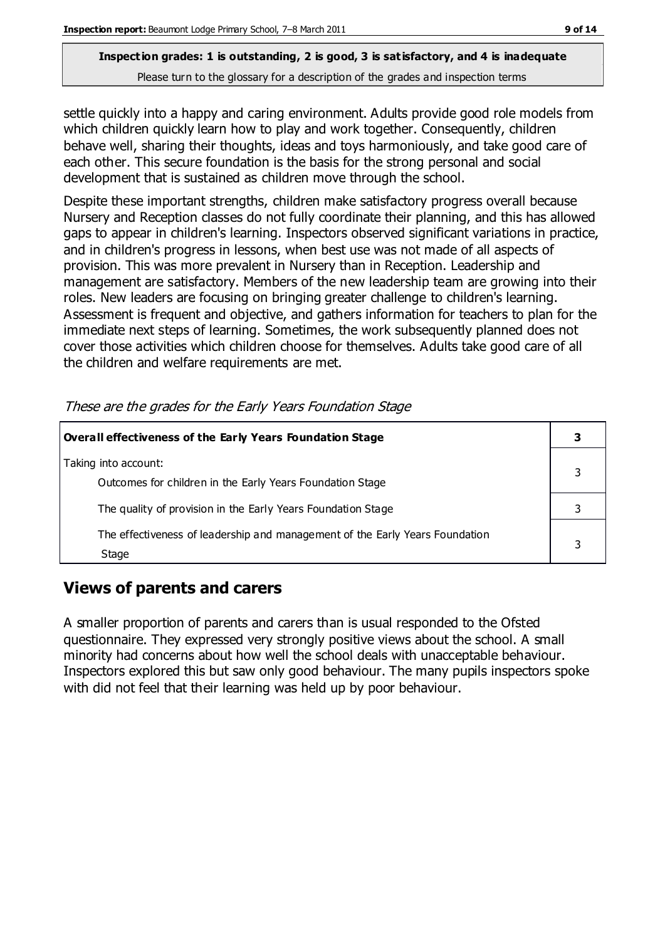settle quickly into a happy and caring environment. Adults provide good role models from which children quickly learn how to play and work together. Consequently, children behave well, sharing their thoughts, ideas and toys harmoniously, and take good care of each other. This secure foundation is the basis for the strong personal and social development that is sustained as children move through the school.

Despite these important strengths, children make satisfactory progress overall because Nursery and Reception classes do not fully coordinate their planning, and this has allowed gaps to appear in children's learning. Inspectors observed significant variations in practice, and in children's progress in lessons, when best use was not made of all aspects of provision. This was more prevalent in Nursery than in Reception. Leadership and management are satisfactory. Members of the new leadership team are growing into their roles. New leaders are focusing on bringing greater challenge to children's learning. Assessment is frequent and objective, and gathers information for teachers to plan for the immediate next steps of learning. Sometimes, the work subsequently planned does not cover those activities which children choose for themselves. Adults take good care of all the children and welfare requirements are met.

| Overall effectiveness of the Early Years Foundation Stage                             |  |  |
|---------------------------------------------------------------------------------------|--|--|
| Taking into account:<br>Outcomes for children in the Early Years Foundation Stage     |  |  |
| The quality of provision in the Early Years Foundation Stage                          |  |  |
| The effectiveness of leadership and management of the Early Years Foundation<br>Stage |  |  |

These are the grades for the Early Years Foundation Stage

## **Views of parents and carers**

A smaller proportion of parents and carers than is usual responded to the Ofsted questionnaire. They expressed very strongly positive views about the school. A small minority had concerns about how well the school deals with unacceptable behaviour. Inspectors explored this but saw only good behaviour. The many pupils inspectors spoke with did not feel that their learning was held up by poor behaviour.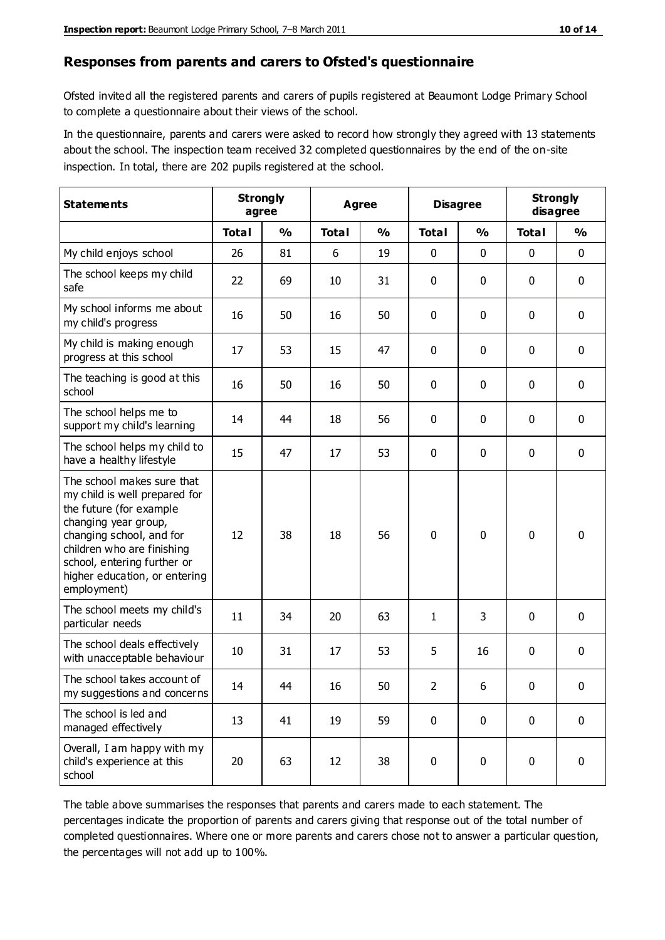#### **Responses from parents and carers to Ofsted's questionnaire**

Ofsted invited all the registered parents and carers of pupils registered at Beaumont Lodge Primary School to complete a questionnaire about their views of the school.

In the questionnaire, parents and carers were asked to record how strongly they agreed with 13 statements about the school. The inspection team received 32 completed questionnaires by the end of the on-site inspection. In total, there are 202 pupils registered at the school.

| <b>Statements</b>                                                                                                                                                                                                                                       | <b>Strongly</b><br>agree |               |              | <b>Agree</b>  | <b>Disagree</b> |               | <b>Strongly</b><br>disagree |               |
|---------------------------------------------------------------------------------------------------------------------------------------------------------------------------------------------------------------------------------------------------------|--------------------------|---------------|--------------|---------------|-----------------|---------------|-----------------------------|---------------|
|                                                                                                                                                                                                                                                         | <b>Total</b>             | $\frac{0}{0}$ | <b>Total</b> | $\frac{0}{0}$ | <b>Total</b>    | $\frac{0}{0}$ | <b>Total</b>                | $\frac{0}{0}$ |
| My child enjoys school                                                                                                                                                                                                                                  | 26                       | 81            | 6            | 19            | 0               | 0             | $\mathbf 0$                 | $\mathbf 0$   |
| The school keeps my child<br>safe                                                                                                                                                                                                                       | 22                       | 69            | 10           | 31            | 0               | 0             | $\mathbf 0$                 | $\mathbf 0$   |
| My school informs me about<br>my child's progress                                                                                                                                                                                                       | 16                       | 50            | 16           | 50            | 0               | $\mathbf 0$   | $\mathbf 0$                 | $\mathbf 0$   |
| My child is making enough<br>progress at this school                                                                                                                                                                                                    | 17                       | 53            | 15           | 47            | 0               | 0             | 0                           | $\mathbf 0$   |
| The teaching is good at this<br>school                                                                                                                                                                                                                  | 16                       | 50            | 16           | 50            | 0               | 0             | $\mathbf 0$                 | $\mathbf 0$   |
| The school helps me to<br>support my child's learning                                                                                                                                                                                                   | 14                       | 44            | 18           | 56            | 0               | 0             | $\mathbf 0$                 | $\mathbf 0$   |
| The school helps my child to<br>have a healthy lifestyle                                                                                                                                                                                                | 15                       | 47            | 17           | 53            | 0               | $\mathbf 0$   | $\mathbf 0$                 | $\mathbf 0$   |
| The school makes sure that<br>my child is well prepared for<br>the future (for example<br>changing year group,<br>changing school, and for<br>children who are finishing<br>school, entering further or<br>higher education, or entering<br>employment) | 12                       | 38            | 18           | 56            | $\mathbf 0$     | $\mathbf{0}$  | $\mathbf 0$                 | $\mathbf 0$   |
| The school meets my child's<br>particular needs                                                                                                                                                                                                         | 11                       | 34            | 20           | 63            | 1               | 3             | $\mathbf 0$                 | $\mathbf 0$   |
| The school deals effectively<br>with unacceptable behaviour                                                                                                                                                                                             | 10                       | 31            | 17           | 53            | 5               | 16            | $\mathbf 0$                 | 0             |
| The school takes account of<br>my suggestions and concerns                                                                                                                                                                                              | 14                       | 44            | 16           | 50            | $\overline{2}$  | 6             | 0                           | 0             |
| The school is led and<br>managed effectively                                                                                                                                                                                                            | 13                       | 41            | 19           | 59            | $\mathbf 0$     | $\mathbf 0$   | $\mathbf 0$                 | $\mathbf 0$   |
| Overall, I am happy with my<br>child's experience at this<br>school                                                                                                                                                                                     | 20                       | 63            | 12           | 38            | $\pmb{0}$       | 0             | $\mathbf 0$                 | $\mathbf 0$   |

The table above summarises the responses that parents and carers made to each statement. The percentages indicate the proportion of parents and carers giving that response out of the total number of completed questionnaires. Where one or more parents and carers chose not to answer a particular question, the percentages will not add up to 100%.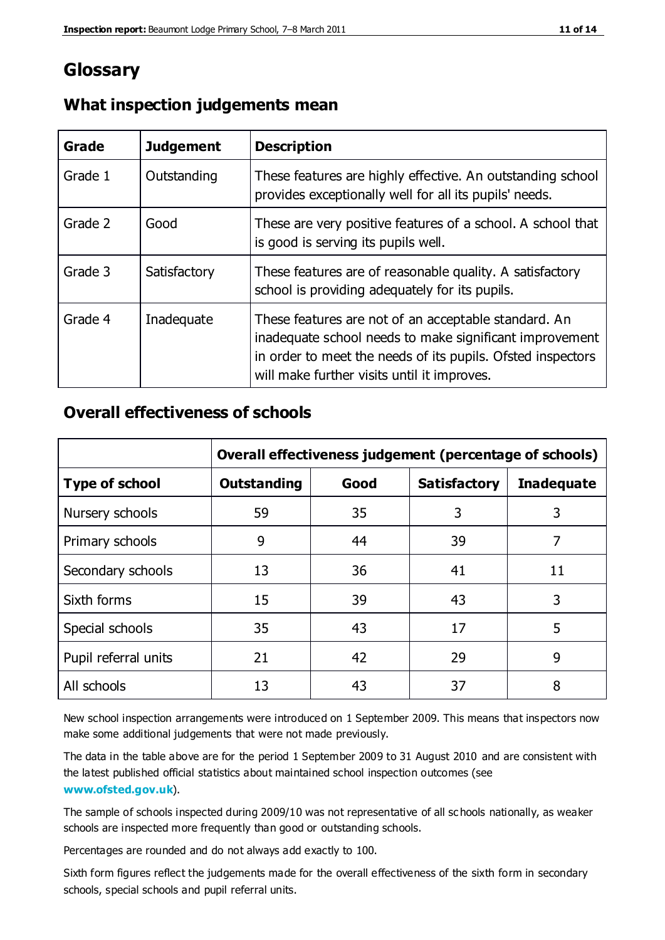## **Glossary**

| Grade   | <b>Judgement</b> | <b>Description</b>                                                                                                                                                                                                            |
|---------|------------------|-------------------------------------------------------------------------------------------------------------------------------------------------------------------------------------------------------------------------------|
| Grade 1 | Outstanding      | These features are highly effective. An outstanding school<br>provides exceptionally well for all its pupils' needs.                                                                                                          |
| Grade 2 | Good             | These are very positive features of a school. A school that<br>is good is serving its pupils well.                                                                                                                            |
| Grade 3 | Satisfactory     | These features are of reasonable quality. A satisfactory<br>school is providing adequately for its pupils.                                                                                                                    |
| Grade 4 | Inadequate       | These features are not of an acceptable standard. An<br>inadequate school needs to make significant improvement<br>in order to meet the needs of its pupils. Ofsted inspectors<br>will make further visits until it improves. |

## **What inspection judgements mean**

## **Overall effectiveness of schools**

|                       | Overall effectiveness judgement (percentage of schools) |      |                     |                   |
|-----------------------|---------------------------------------------------------|------|---------------------|-------------------|
| <b>Type of school</b> | <b>Outstanding</b>                                      | Good | <b>Satisfactory</b> | <b>Inadequate</b> |
| Nursery schools       | 59                                                      | 35   | 3                   | 3                 |
| Primary schools       | 9                                                       | 44   | 39                  | 7                 |
| Secondary schools     | 13                                                      | 36   | 41                  | 11                |
| Sixth forms           | 15                                                      | 39   | 43                  | 3                 |
| Special schools       | 35                                                      | 43   | 17                  | 5                 |
| Pupil referral units  | 21                                                      | 42   | 29                  | 9                 |
| All schools           | 13                                                      | 43   | 37                  | 8                 |

New school inspection arrangements were introduced on 1 September 2009. This means that inspectors now make some additional judgements that were not made previously.

The data in the table above are for the period 1 September 2009 to 31 August 2010 and are consistent with the latest published official statistics about maintained school inspection outcomes (see **[www.ofsted.gov.uk](http://www.ofsted.gov.uk/)**).

The sample of schools inspected during 2009/10 was not representative of all sc hools nationally, as weaker schools are inspected more frequently than good or outstanding schools.

Percentages are rounded and do not always add exactly to 100.

Sixth form figures reflect the judgements made for the overall effectiveness of the sixth form in secondary schools, special schools and pupil referral units.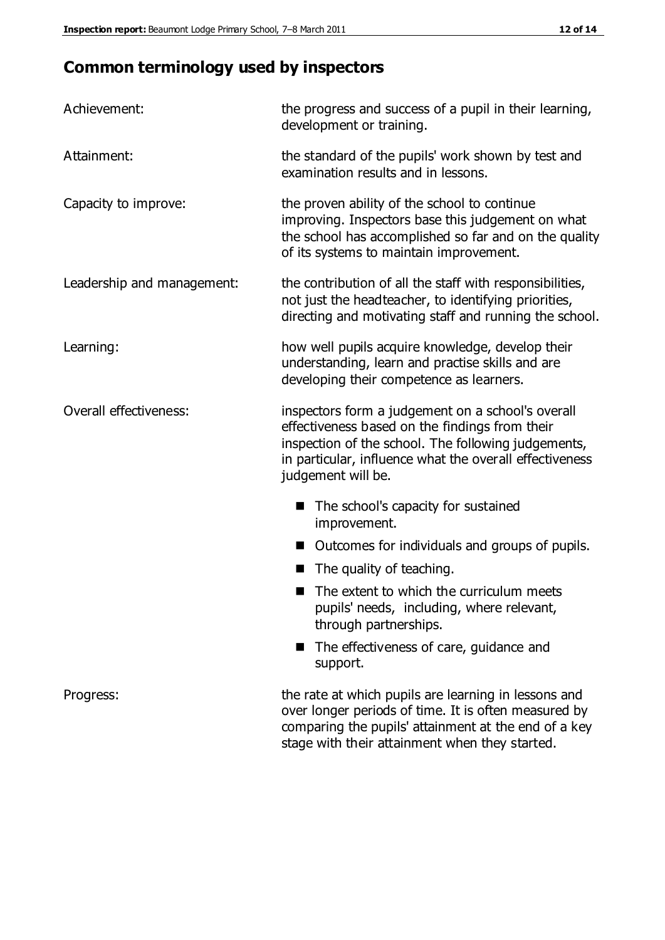# **Common terminology used by inspectors**

| Achievement:                  | the progress and success of a pupil in their learning,<br>development or training.                                                                                                                                                          |  |
|-------------------------------|---------------------------------------------------------------------------------------------------------------------------------------------------------------------------------------------------------------------------------------------|--|
| Attainment:                   | the standard of the pupils' work shown by test and<br>examination results and in lessons.                                                                                                                                                   |  |
| Capacity to improve:          | the proven ability of the school to continue<br>improving. Inspectors base this judgement on what<br>the school has accomplished so far and on the quality<br>of its systems to maintain improvement.                                       |  |
| Leadership and management:    | the contribution of all the staff with responsibilities,<br>not just the headteacher, to identifying priorities,<br>directing and motivating staff and running the school.                                                                  |  |
| Learning:                     | how well pupils acquire knowledge, develop their<br>understanding, learn and practise skills and are<br>developing their competence as learners.                                                                                            |  |
| <b>Overall effectiveness:</b> | inspectors form a judgement on a school's overall<br>effectiveness based on the findings from their<br>inspection of the school. The following judgements,<br>in particular, influence what the overall effectiveness<br>judgement will be. |  |
|                               | The school's capacity for sustained<br>improvement.                                                                                                                                                                                         |  |
|                               | Outcomes for individuals and groups of pupils.                                                                                                                                                                                              |  |
|                               | The quality of teaching.                                                                                                                                                                                                                    |  |
|                               | The extent to which the curriculum meets<br>pupils' needs, including, where relevant,<br>through partnerships.                                                                                                                              |  |
|                               | The effectiveness of care, guidance and<br>support.                                                                                                                                                                                         |  |
| Progress:                     | the rate at which pupils are learning in lessons and<br>over longer periods of time. It is often measured by<br>comparing the pupils' attainment at the end of a key                                                                        |  |

stage with their attainment when they started.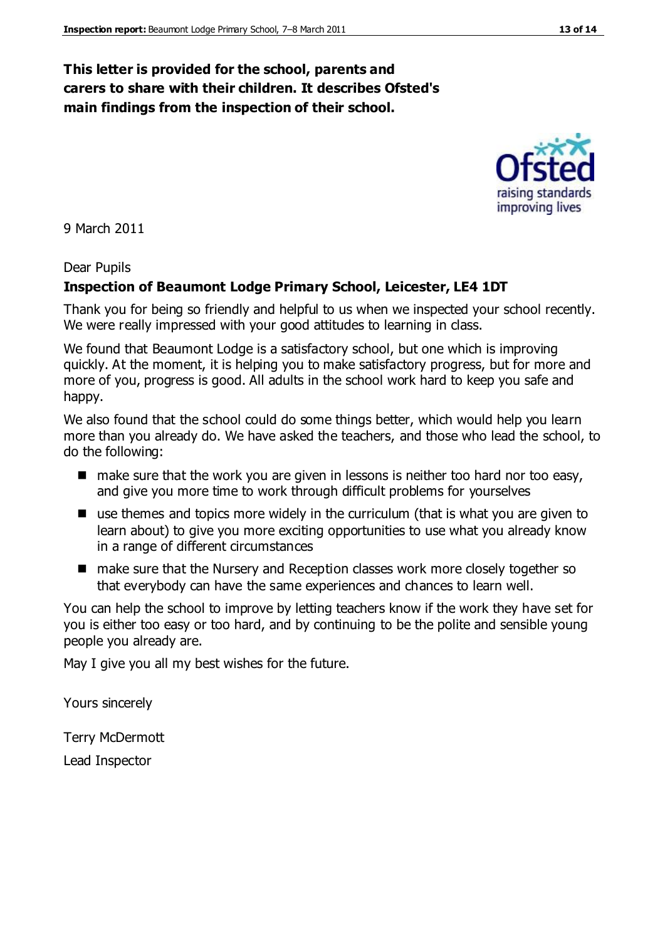## **This letter is provided for the school, parents and carers to share with their children. It describes Ofsted's main findings from the inspection of their school.**

9 March 2011

#### Dear Pupils

#### **Inspection of Beaumont Lodge Primary School, Leicester, LE4 1DT**

Thank you for being so friendly and helpful to us when we inspected your school recently. We were really impressed with your good attitudes to learning in class.

We found that Beaumont Lodge is a satisfactory school, but one which is improving quickly. At the moment, it is helping you to make satisfactory progress, but for more and more of you, progress is good. All adults in the school work hard to keep you safe and happy.

We also found that the school could do some things better, which would help you learn more than you already do. We have asked the teachers, and those who lead the school, to do the following:

- $\blacksquare$  make sure that the work you are given in lessons is neither too hard nor too easy, and give you more time to work through difficult problems for yourselves
- use themes and topics more widely in the curriculum (that is what you are given to learn about) to give you more exciting opportunities to use what you already know in a range of different circumstances
- make sure that the Nursery and Reception classes work more closely together so that everybody can have the same experiences and chances to learn well.

You can help the school to improve by letting teachers know if the work they have set for you is either too easy or too hard, and by continuing to be the polite and sensible young people you already are.

May I give you all my best wishes for the future.

Yours sincerely

Terry McDermott Lead Inspector